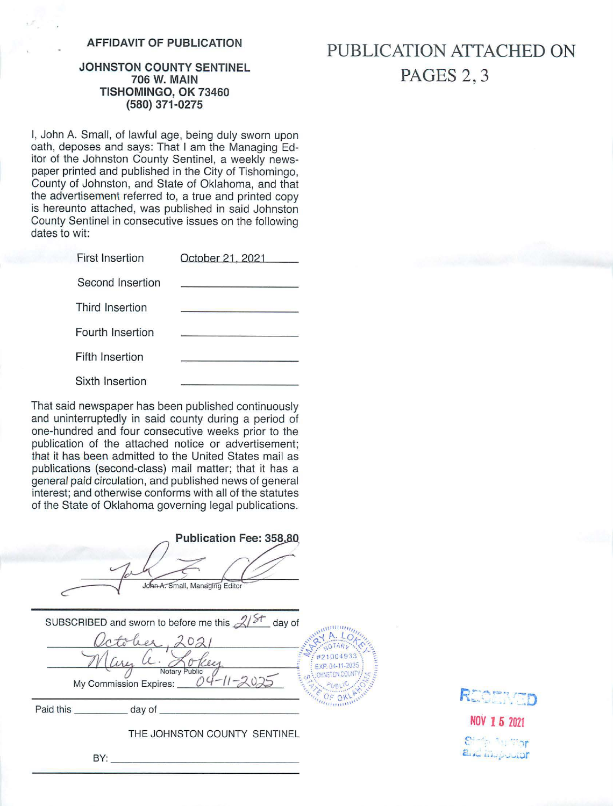# **AFFIDAVIT OF PUBLICATION**

## **JOHNSTON COUNTY SENTINEL 706 W. MAIN TISHOMINGO, OK 73460 (580) 371-0275**

I, John A. Small, of lawful age, being duly sworn upon oath, deposes and says: That I am the Managing Editor of the Johnston County Sentinel, a weekly newspaper printed and published in the City of Tishomingo, County of Johnston, and State of Oklahoma, and that the advertisement referred to, a true and printed copy is hereunto attached, was published in said Johnston County Sentinel in consecutive issues on the following dates to wit:

| <b>First Insertion</b> | October 21, 2021 |  |
|------------------------|------------------|--|
| Second Insertion       |                  |  |
| Third Insertion        |                  |  |
| Fourth Insertion       |                  |  |
| <b>Fifth Insertion</b> |                  |  |
| Sixth Insertion        |                  |  |

That said newspaper has been published continuously and uninterruptedly in said county during a period of one-hundred and four consecutive weeks prior to the publication of the attached notice or advertisement; that it has been admitted to the United States mail as publications (second-class) mail matter; that it has a genera/ paid circulation, and published news of general interest; and otherwise conforms with all of the statutes of the State of Oklahoma governing legal publications.

| Publication Fee: 358,80<br>John A. Small, Managing Editor                                                                                                                                 |
|-------------------------------------------------------------------------------------------------------------------------------------------------------------------------------------------|
| SUBSCRIBED and sworn to before me this $\mathcal{A}/\mathcal{F}$ day of<br>#21004933<br>Key<br>EXP. 04-11-2025<br>Notary Public<br><b>NORNSTON COUNTY:</b><br>My Commission Expires: $04$ |
|                                                                                                                                                                                           |
| THE JOHNSTON COUNTY SENTINEL                                                                                                                                                              |
| BY:                                                                                                                                                                                       |

**PUBLICATION ATTACHED ON PAGES** 2, 3



**NOV 16 <sup>2021</sup>**  $\mathbb{C}^{\nu - \ell}$  . The vert *r ·*  **c;\_, ,\_ &.i . -,..., \_\_,..,l;\_Jf**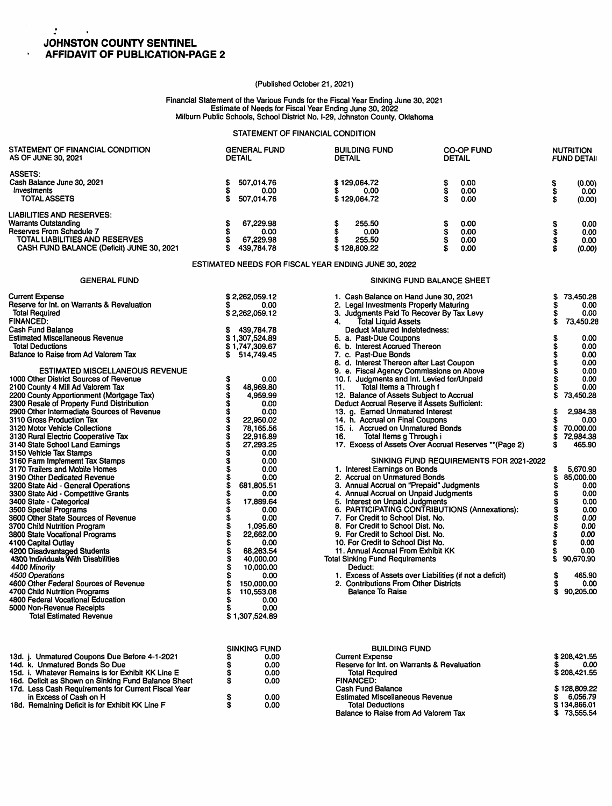## *:*  **JOHNSTON COUNTY SENTINEL AFFIDAVIT OF PUBLICATION-PAGE 2**

 $\Delta$ 

 $\ddot{\phantom{0}}$ 

## (Published October 21, 2021)

#### Financial Statement of the Various Funds for the Fiscal Year Ending June 30, 2021 Estimate of Needs for Fiscal Year Ending June 30, 2022 Milburn Public Schools, School District No. 1-29, Johnston County, Oklahoma

### STATEMENT OF FINANCIAL CONDITION

| STATEMENT OF FINANCIAL CONDITION                                      | <b>GENERAL FUND</b>                                  | <b>BUILDING FUND</b>                                                                 | <b>CO-OP FUND</b>                                      |         | <b>NUTRITION</b>       |
|-----------------------------------------------------------------------|------------------------------------------------------|--------------------------------------------------------------------------------------|--------------------------------------------------------|---------|------------------------|
| AS OF JUNE 30, 2021                                                   | <b>DETAIL</b>                                        | <b>DETAIL</b>                                                                        | <b>DETAIL</b>                                          |         | <b>FUND DETAIL</b>     |
| <b>ASSETS:</b>                                                        |                                                      |                                                                                      |                                                        |         |                        |
| Cash Balance June 30, 2021                                            | \$<br>507,014.76                                     | \$129,064.72                                                                         | \$<br>0.00                                             |         | (0.00)                 |
| Investments                                                           | \$<br>0.00                                           | \$<br>0.00                                                                           | š<br>0.00                                              | \$      | 0.00                   |
| TOTAL ASSETS                                                          | \$.<br>507,014.76                                    | \$129,064.72                                                                         | Ś<br>0.00                                              | Ś       | (0.00)                 |
| <b>LIABILITIES AND RESERVES:</b>                                      |                                                      |                                                                                      |                                                        |         |                        |
| <b>Warrants Outstanding</b>                                           | \$<br>67,229.98                                      | 255.50<br>\$                                                                         | 0.00                                                   |         | 0.00                   |
| Reserves From Schedule 7                                              | \$<br>0.00                                           | \$<br>0.00                                                                           | \$<br>\$<br>0.00                                       | \$\$    | 0.00                   |
| TOTAL LIABILITIES AND RESERVES                                        | \$<br>67,229.98                                      | \$<br>255.50                                                                         | \$<br>0.00                                             |         | 0.00                   |
| CASH FUND BALANCE (Deficit) JUNE 30, 2021                             | \$<br>439,784.78                                     | \$128,809.22                                                                         | S<br>0.00                                              | Ŝ       | (0.00)                 |
|                                                                       | ESTIMATED NEEDS FOR FISCAL YEAR ENDING JUNE 30, 2022 |                                                                                      |                                                        |         |                        |
| <b>GENERAL FUND</b>                                                   |                                                      |                                                                                      | SINKING FUND BALANCE SHEET                             |         |                        |
| <b>Current Expense</b>                                                |                                                      |                                                                                      |                                                        | S       | 73.450.28              |
| Reserve for Int. on Warrants & Revaluation                            | \$2,262,059.12<br>S<br>0.00                          | 1. Cash Balance on Hand June 30, 2021<br>2. Legal Investments Properly Maturing      |                                                        | \$      | 0.00                   |
| <b>Total Required</b>                                                 | \$2,262,059.12                                       | 3. Judgments Paid To Recover By Tax Levy                                             |                                                        | \$      | 0.00                   |
| <b>FINANCED:</b>                                                      |                                                      | <b>Total Liquid Assets</b><br>4.                                                     |                                                        | \$      | 73,450.28              |
| <b>Cash Fund Balance</b>                                              | 439,784.78<br>\$                                     | <b>Deduct Matured Indebtedness:</b>                                                  |                                                        |         |                        |
| <b>Estimated Miscellaneous Revenue</b>                                | \$1,307,524.89                                       | 5. a. Past-Due Coupons                                                               |                                                        | \$      | 0.00                   |
| <b>Total Deductions</b>                                               | \$1,747,309.67                                       | 6. b. Interest Accrued Thereon                                                       |                                                        | \$      | 0.00                   |
| Balance to Raise from Ad Valorem Tax                                  | \$514,749.45                                         | 7. c. Past-Due Bonds                                                                 |                                                        | \$      | 0.00                   |
| <b>ESTIMATED MISCELLANEOUS REVENUE</b>                                |                                                      | 8. d. Interest Thereon after Last Coupon<br>9. e. Fiscal Agency Commissions on Above |                                                        | Š<br>\$ | 0.00<br>0.00           |
| 1000 Other District Sources of Revenue                                | \$<br>0.00                                           | 10. f. Judgments and Int. Levied for/Unpaid                                          |                                                        | S       | 0.00                   |
| 2100 County 4 Mill Ad Valorem Tax                                     | 48,969.80                                            | Total Items a Through f<br>11.                                                       |                                                        | \$      | 0.00                   |
| 2200 County Apportionment (Mortgage Tax)                              | \$<br>4.959.99                                       | 12. Balance of Assets Subject to Accrual                                             |                                                        | \$      | 73,450.28              |
| 2300 Resale of Property Fund Distribution                             | \$<br>0.00                                           | Deduct Accrual Reserve if Assets Sufficient:                                         |                                                        |         |                        |
| 2900 Other Intermediate Sources of Revenue                            | \$<br>0.00                                           | 13. g. Earned Unmatured Interest                                                     |                                                        | \$      | 2.984.38               |
| 3110 Gross Production Tax                                             | \$<br>22,950.02<br>$\dot{\boldsymbol{s}}$            | 14. h. Accrual on Final Coupons                                                      |                                                        | \$      | 0.00                   |
| 3120 Motor Vehicle Collections<br>3130 Rural Electric Cooperative Tax | 78.165.56<br>\$<br>22.916.89                         | 15. i. Accrued on Unmatured Bonds<br>Total Items g Through i<br>16.                  |                                                        | S<br>\$ | 70,000.00<br>72.984.38 |
| 3140 State School Land Earnings                                       | \$<br>27,293.25                                      |                                                                                      | 17. Excess of Assets Over Accrual Reserves ** (Page 2) | \$.     | 465.90                 |
| 3150 Vehicle Tax Stamps                                               | \$<br>0.00                                           |                                                                                      |                                                        |         |                        |
| 3160 Farm Implememt Tax Stamps                                        | Ś<br>0.00                                            |                                                                                      | SINKING FUND REQUIREMENTS FOR 2021-2022                |         |                        |
| 3170 Trailers and Mobile Homes                                        | S<br>0.00                                            | 1. Interest Earnings on Bonds                                                        |                                                        | \$      | 5,670.90               |
| 3190 Other Dedicated Revenue                                          | S<br>0.00                                            | 2. Accrual on Unmatured Bonds                                                        |                                                        | S       | 85.000.00              |
| 3200 State Aid - General Operations                                   | S<br>681,805.51                                      | 3. Annual Accrual on "Prepaid" Judgments                                             |                                                        | S       | 0.00                   |
| 3300 State Aid - Competitive Grants<br>3400 State - Categorical       | \$<br>0.00<br>S<br>17,889.64                         | 4. Annual Accrual on Unpaid Judgments<br>5. Interest on Unpaid Judgments             |                                                        | Ŝ       | 0.00<br>0.00           |
| 3500 Special Programs                                                 | \$<br>0.00                                           |                                                                                      | 6. PARTICIPATING CONTRIBUTIONS (Annexations):          | \$      | 0.00                   |
| 3600 Other State Sources of Revenue                                   | \$<br>0.00                                           | 7. For Credit to School Dist. No.                                                    |                                                        | \$      | 0.00                   |
| 3700 Child Nutrition Program                                          | \$<br>1,095.60                                       | 8. For Credit to School Dist. No.                                                    |                                                        | \$      | 0.00                   |
| 3800 State Vocational Programs                                        | S<br>22,662.00                                       | 9. For Credit to School Dist. No.                                                    |                                                        | \$      | 0.00                   |
| 4100 Capital Outlay                                                   | \$<br>0.00                                           | 10. For Credit to School Dist No.                                                    |                                                        | \$      | 0.00                   |
| 4200 Disadvantaged Students                                           | \$<br>68,263.54                                      | 11. Annual Accrual From Exhibit KK                                                   |                                                        | S       | 0.00                   |
| 4300 Individuals With Disabilities<br>4400 Minority                   | \$<br>40,000.00<br>\$<br>10,000.00                   | <b>Total Sinking Fund Requirements</b><br>Deduct:                                    |                                                        | \$      | 90,670.90              |
| 4500 Operations                                                       | S<br>0.00                                            | 1. Excess of Assets over Liabilities (if not a deficit)                              |                                                        | \$      | 465.90                 |
| 4600 Other Federal Sources of Revenue                                 | 150,000.00                                           | 2. Contributions From Other Districts                                                |                                                        | \$      | 0.00                   |
| 4700 Child Nutrition Programs                                         | \$<br>110,553.08                                     | <b>Balance To Raise</b>                                                              |                                                        | \$      | 90,205.00              |
| 4800 Federal Vocational Education                                     | S<br>0.00                                            |                                                                                      |                                                        |         |                        |
| 5000 Non-Revenue Receipts                                             | S<br>0.00                                            |                                                                                      |                                                        |         |                        |

\$ 1,307,524.89

|                                                     |   | <b>SINKING FUND</b> |
|-----------------------------------------------------|---|---------------------|
| 13d. j. Unmatured Coupons Due Before 4-1-2021       |   | 0.00                |
| 14d. k. Unmatured Bonds So Due                      | S | 0.00                |
| 15d. i. Whatever Remains is for Exhibit KK Line E   | S | 0.00                |
| 16d. Deficit as Shown on Sinking Fund Balance Sheet | S | 0.00                |
| 17d. Less Cash Requirements for Current Fiscal Year |   |                     |
| in Excess of Cash on H                              | S | 0.00                |
| 18d. Remaining Deficit is for Exhibit KK Line F     | S | 0.00                |

Total Estimated Revenue

| <b>BUILDING FUND</b>                       |              |
|--------------------------------------------|--------------|
| Current Expense                            | \$208,421.55 |
| Reserve for Int. on Warrants & Revaluation | 0.00         |
| <b>Total Required</b>                      | \$208.421.55 |
| <b>FINANCED:</b>                           |              |
| <b>Cash Fund Balance</b>                   | \$128,809.22 |
| <b>Estimated Miscellaneous Revenue</b>     | 6.056.79     |
| <b>Total Deductions</b>                    | \$134,866.01 |
| Balance to Raise from Ad Valorem Tax       | \$73,555.54  |
|                                            |              |